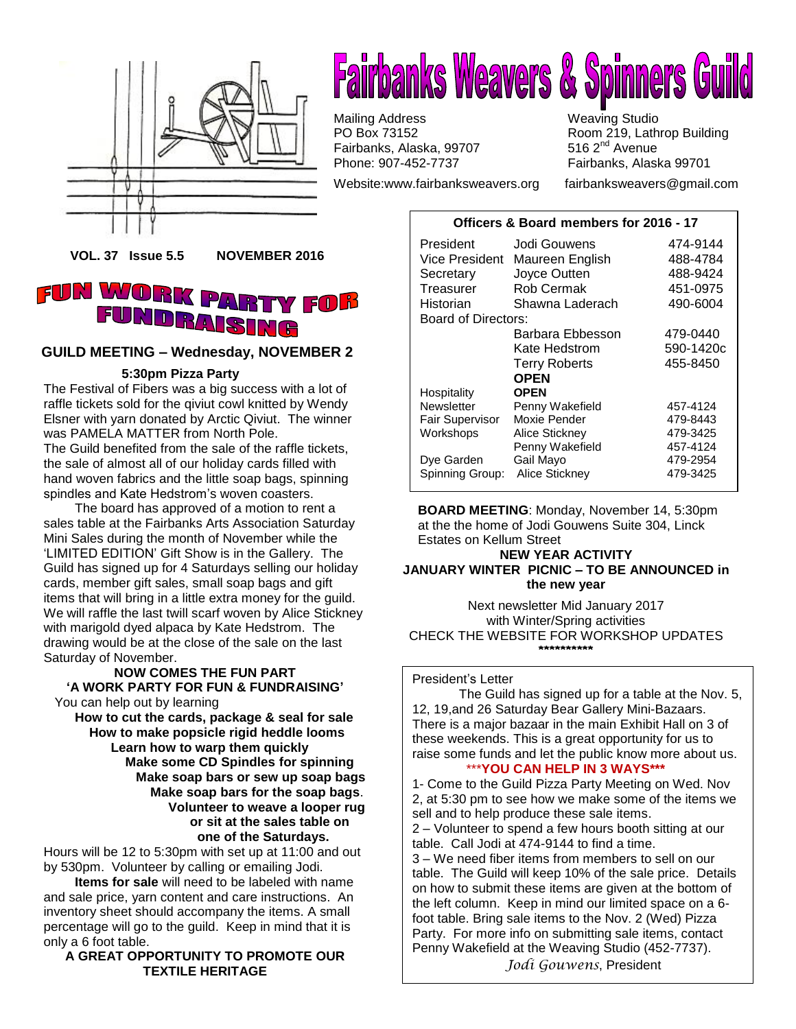



Mailing Address **Mailing Studio**<br>
PO Box 73152 **Marshall** Room 219, Lath Fairbanks, Alaska, 99707 Phone: 907-452-7737 Fairbanks, Alaska 99701

Website[:www.fairbanksweavers.org](http://www.fairbanksweavers.org/) fairbanksweavers@gmail.com

Room 219, Lathrop Building<br>516 2<sup>nd</sup> Avenue

#### **Officers & Board members for 2016 - 17**

**VOL. 37 Issue 5.5 NOVEMBER 2016**

## **FUN WORK PA** Y FOB DRAISING

#### **GUILD MEETING – Wednesday, NOVEMBER 2**

#### **5:30pm Pizza Party**

The Festival of Fibers was a big success with a lot of raffle tickets sold for the qiviut cowl knitted by Wendy Elsner with yarn donated by Arctic Qiviut. The winner was PAMELA MATTER from North Pole. The Guild benefited from the sale of the raffle tickets, the sale of almost all of our holiday cards filled with hand woven fabrics and the little soap bags, spinning spindles and Kate Hedstrom's woven coasters.

 The board has approved of a motion to rent a sales table at the Fairbanks Arts Association Saturday Mini Sales during the month of November while the 'LIMITED EDITION' Gift Show is in the Gallery. The Guild has signed up for 4 Saturdays selling our holiday cards, member gift sales, small soap bags and gift items that will bring in a little extra money for the guild. We will raffle the last twill scarf woven by Alice Stickney with marigold dyed alpaca by Kate Hedstrom. The drawing would be at the close of the sale on the last Saturday of November.

#### **NOW COMES THE FUN PART 'A WORK PARTY FOR FUN & FUNDRAISING'**

You can help out by learning

**How to cut the cards, package & seal for sale How to make popsicle rigid heddle looms Learn how to warp them quickly Make some CD Spindles for spinning Make soap bars or sew up soap bags Make soap bars for the soap bags**. **Volunteer to weave a looper rug or sit at the sales table on one of the Saturdays.**

Hours will be 12 to 5:30pm with set up at 11:00 and out by 530pm. Volunteer by calling or emailing Jodi.

**Items for sale** will need to be labeled with name and sale price, yarn content and care instructions. An inventory sheet should accompany the items. A small percentage will go to the guild. Keep in mind that it is only a 6 foot table.

**A GREAT OPPORTUNITY TO PROMOTE OUR TEXTILE HERITAGE**

| President              | Jodi Gouwens         | 474-9144  |
|------------------------|----------------------|-----------|
| Vice President         | Maureen English      | 488-4784  |
| Secretary              | Joyce Outten         | 488-9424  |
| Treasurer              | Rob Cermak           | 451-0975  |
| Historian              | Shawna Laderach      | 490-6004  |
| Board of Directors:    |                      |           |
|                        | Barbara Ebbesson     | 479-0440  |
|                        | Kate Hedstrom        | 590-1420c |
|                        | <b>Terry Roberts</b> | 455-8450  |
|                        | <b>OPEN</b>          |           |
| Hospitality            | <b>OPEN</b>          |           |
| Newsletter             | Penny Wakefield      | 457-4124  |
| <b>Fair Supervisor</b> | Moxie Pender         | 479-8443  |
| Workshops              | Alice Stickney       | 479-3425  |
|                        | Penny Wakefield      | 457-4124  |
| Dye Garden             | Gail Mayo            | 479-2954  |
| Spinning Group:        | Alice Stickney       | 479-3425  |

**BOARD MEETING**: Monday, November 14, 5:30pm at the the home of Jodi Gouwens Suite 304, Linck Estates on Kellum Street

#### **NEW YEAR ACTIVITY JANUARY WINTER PICNIC – TO BE ANNOUNCED in the new year**

Next newsletter Mid January 2017 with Winter/Spring activities CHECK THE WEBSITE FOR WORKSHOP UPDATES **\*\*\*\*\*\*\*\*\*\***

#### President's Letter

The Guild has signed up for a table at the Nov. 5, 12, 19,and 26 Saturday Bear Gallery Mini-Bazaars. There is a major bazaar in the main Exhibit Hall on 3 of these weekends. This is a great opportunity for us to raise some funds and let the public know more about us.

## \*\*\***YOU CAN HELP IN 3 WAYS\*\*\***

1- Come to the Guild Pizza Party Meeting on Wed. Nov 2, at 5:30 pm to see how we make some of the items we sell and to help produce these sale items. 2 – Volunteer to spend a few hours booth sitting at our table. Call Jodi at 474-9144 to find a time. 3 – We need fiber items from members to sell on our table. The Guild will keep 10% of the sale price. Details on how to submit these items are given at the bottom of the left column. Keep in mind our limited space on a 6 foot table. Bring sale items to the Nov. 2 (Wed) Pizza Party. For more info on submitting sale items, contact Penny Wakefield at the Weaving Studio (452-7737).

*Jodi Gouwens*, President